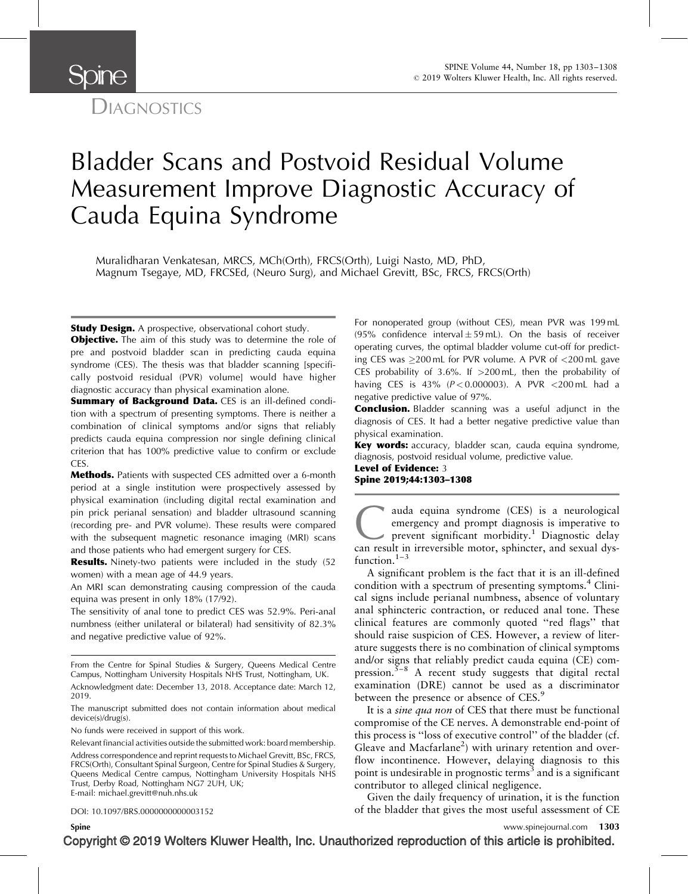

# Bladder Scans and Postvoid Residual Volume Measurement Improve Diagnostic Accuracy of Cauda Equina Syndrome

Muralidharan Venkatesan, MRCS, MCh(Orth), FRCS(Orth), Luigi Nasto, MD, PhD, Magnum Tsegaye, MD, FRCSEd, (Neuro Surg), and Michael Grevitt, BSc, FRCS, FRCS(Orth)

**Study Design.** A prospective, observational cohort study.

**Objective.** The aim of this study was to determine the role of pre and postvoid bladder scan in predicting cauda equina syndrome (CES). The thesis was that bladder scanning [specifically postvoid residual (PVR) volume] would have higher diagnostic accuracy than physical examination alone.

Summary of Background Data. CES is an ill-defined condition with a spectrum of presenting symptoms. There is neither a combination of clinical symptoms and/or signs that reliably predicts cauda equina compression nor single defining clinical criterion that has 100% predictive value to confirm or exclude CES.

Methods. Patients with suspected CES admitted over a 6-month period at a single institution were prospectively assessed by physical examination (including digital rectal examination and pin prick perianal sensation) and bladder ultrasound scanning (recording pre- and PVR volume). These results were compared with the subsequent magnetic resonance imaging (MRI) scans and those patients who had emergent surgery for CES.

Results. Ninety-two patients were included in the study (52 women) with a mean age of 44.9 years.

An MRI scan demonstrating causing compression of the cauda equina was present in only 18% (17/92).

The sensitivity of anal tone to predict CES was 52.9%. Peri-anal numbness (either unilateral or bilateral) had sensitivity of 82.3% and negative predictive value of 92%.

The manuscript submitted does not contain information about medical device(s)/drug(s).

No funds were received in support of this work.

Relevant financial activities outside the submitted work: board membership.

Address correspondence and reprint requests to Michael Grevitt, BSc, FRCS, FRCS(Orth), Consultant Spinal Surgeon, Centre for Spinal Studies & Surgery, Queens Medical Centre campus, Nottingham University Hospitals NHS Trust, Derby Road, Nottingham NG7 2UH, UK; E-mail: [michael.grevitt@nuh.nhs.uk](mailto:michael.grevitt@nuh.nhs.uk)

DOI: 10.1097/BRS.0000000000003152

For nonoperated group (without CES), mean PVR was 199 mL (95% confidence interval $\pm$ 59 mL). On the basis of receiver operating curves, the optimal bladder volume cut-off for predicting CES was 200 mL for PVR volume. A PVR of <200 mL gave CES probability of 3.6%. If  $>200 \text{ mL}$ , then the probability of having CES is 43% ( $P < 0.000003$ ). A PVR <200 mL had a negative predictive value of 97%.

**Conclusion.** Bladder scanning was a useful adjunct in the diagnosis of CES. It had a better negative predictive value than physical examination.

Key words: accuracy, bladder scan, cauda equina syndrome, diagnosis, postvoid residual volume, predictive value.

Level of Evidence: 3 Spine 2019;44:1303–1308

auda equina syndrome (CES) is a neurological emergency and prompt diagnosis is imperative to prevent significant morbidity.<sup>1</sup> Diagnostic delay can result in irreversible motor, sphincter, and sexual dysemergency and prompt diagnosis is imperative to prevent significant morbidity.<sup>[1](#page-5-0)</sup> Diagnostic delay can result in irreversible motor, sphincter, and sexual dysfunction. $1-3$ 

A significant problem is the fact that it is an ill-defined condition with a spectrum of presenting symptoms.<sup>[4](#page-5-0)</sup> Clinical signs include perianal numbness, absence of voluntary anal sphincteric contraction, or reduced anal tone. These clinical features are commonly quoted ''red flags'' that should raise suspicion of CES. However, a review of literature suggests there is no combination of clinical symptoms and/or signs that reliably predict cauda equina (CE) com-pression.<sup>[5–8](#page-5-0)</sup> A recent study suggests that digital rectal examination (DRE) cannot be used as a discriminator between the presence or absence of CES.<sup>[9](#page-5-0)</sup>

It is a sine qua non of CES that there must be functional compromise of the CE nerves. A demonstrable end-point of this process is ''loss of executive control'' of the bladder (cf. Gleave and Macfarlane<sup>2</sup>) with urinary retention and overflow incontinence. However, delaying diagnosis to this point is undesirable in prognostic terms<sup>[3](#page-5-0)</sup> and is a significant contributor to alleged clinical negligence.

Given the daily frequency of urination, it is the function of the bladder that gives the most useful assessment of CE

From the Centre for Spinal Studies & Surgery, Queens Medical Centre Campus, Nottingham University Hospitals NHS Trust, Nottingham, UK.

Acknowledgment date: December 13, 2018. Acceptance date: March 12, 2019.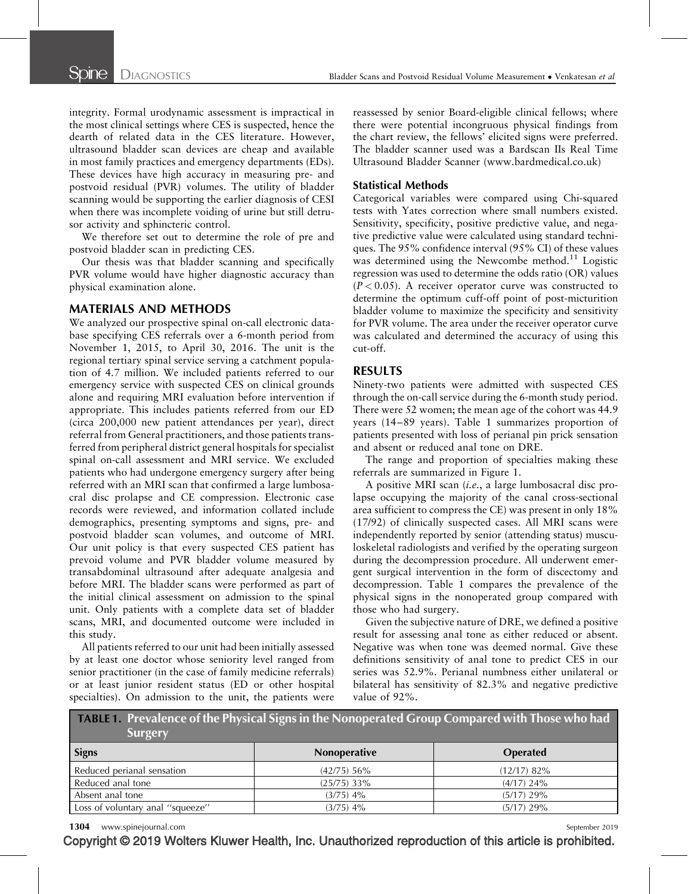integrity. Formal urodynamic assessment is impractical in the most clinical settings where CES is suspected, hence the dearth of related data in the CES literature. However, ultrasound bladder scan devices are cheap and available in most family practices and emergency departments (EDs). These devices have high accuracy in measuring pre- and postvoid residual (PVR) volumes. The utility of bladder scanning would be supporting the earlier diagnosis of CESI when there was incomplete voiding of urine but still detrusor activity and sphincteric control.

We therefore set out to determine the role of pre and postvoid bladder scan in predicting CES.

Our thesis was that bladder scanning and specifically PVR volume would have higher diagnostic accuracy than physical examination alone.

## MATERIALS AND METHODS

We analyzed our prospective spinal on-call electronic database specifying CES referrals over a 6-month period from November 1, 2015, to April 30, 2016. The unit is the regional tertiary spinal service serving a catchment population of 4.7 million. We included patients referred to our emergency service with suspected CES on clinical grounds alone and requiring MRI evaluation before intervention if appropriate. This includes patients referred from our ED (circa 200,000 new patient attendances per year), direct referral from General practitioners, and those patients transferred from peripheral district general hospitals for specialist spinal on-call assessment and MRI service. We excluded patients who had undergone emergency surgery after being referred with an MRI scan that confirmed a large lumbosacral disc prolapse and CE compression. Electronic case records were reviewed, and information collated include demographics, presenting symptoms and signs, pre- and postvoid bladder scan volumes, and outcome of MRI. Our unit policy is that every suspected CES patient has prevoid volume and PVR bladder volume measured by transabdominal ultrasound after adequate analgesia and before MRI. The bladder scans were performed as part of the initial clinical assessment on admission to the spinal unit. Only patients with a complete data set of bladder scans, MRI, and documented outcome were included in this study.

All patients referred to our unit had been initially assessed by at least one doctor whose seniority level ranged from senior practitioner (in the case of family medicine referrals) or at least junior resident status (ED or other hospital specialties). On admission to the unit, the patients were reassessed by senior Board-eligible clinical fellows; where there were potential incongruous physical findings from the chart review, the fellows' elicited signs were preferred. The bladder scanner used was a Bardscan IIs Real Time Ultrasound Bladder Scanner ([www.bardmedical.co.uk\)](http://www.bardmedical.co.uk/)

# Statistical Methods

Categorical variables were compared using Chi-squared tests with Yates correction where small numbers existed. Sensitivity, specificity, positive predictive value, and negative predictive value were calculated using standard techniques. The 95% confidence interval (95% CI) of these values was determined using the Newcombe method.<sup>[11](#page-5-0)</sup> Logistic regression was used to determine the odds ratio (OR) values  $(P < 0.05)$ . A receiver operator curve was constructed to determine the optimum cuff-off point of post-micturition bladder volume to maximize the specificity and sensitivity for PVR volume. The area under the receiver operator curve was calculated and determined the accuracy of using this cut-off.

# RESULTS

Ninety-two patients were admitted with suspected CES through the on-call service during the 6-month study period. There were 52 women; the mean age of the cohort was 44.9 years (14–89 years). Table 1 summarizes proportion of patients presented with loss of perianal pin prick sensation and absent or reduced anal tone on DRE.

The range and proportion of specialties making these referrals are summarized in Figure 1.

A positive MRI scan (i.e., a large lumbosacral disc prolapse occupying the majority of the canal cross-sectional area sufficient to compress the CE) was present in only 18% (17/92) of clinically suspected cases. All MRI scans were independently reported by senior (attending status) musculoskeletal radiologists and verified by the operating surgeon during the decompression procedure. All underwent emergent surgical intervention in the form of discectomy and decompression. Table 1 compares the prevalence of the physical signs in the nonoperated group compared with those who had surgery.

Given the subjective nature of DRE, we defined a positive result for assessing anal tone as either reduced or absent. Negative was when tone was deemed normal. Give these definitions sensitivity of anal tone to predict CES in our series was 52.9%. Perianal numbness either unilateral or bilateral has sensitivity of 82.3% and negative predictive value of 92%.

| <b>TABLE 1. Prevalence of the Physical Signs in the Nonoperated Group Compared with Those who had</b><br><b>Surgery</b> |               |                 |  |  |  |
|-------------------------------------------------------------------------------------------------------------------------|---------------|-----------------|--|--|--|
| <b>Signs</b>                                                                                                            | Nonoperative  | <b>Operated</b> |  |  |  |
| Reduced perianal sensation                                                                                              | $(42/75)$ 56% | $(12/17)$ 82%   |  |  |  |
| Reduced anal tone                                                                                                       | $(25/75)$ 33% | $(4/17)$ 24%    |  |  |  |
| Absent anal tone                                                                                                        | $(3/75)$ 4%   | $(5/17)$ 29%    |  |  |  |
| Loss of voluntary anal "squeeze"                                                                                        | $(3/75)$ 4%   | $(5/17)$ 29%    |  |  |  |

1304 www.spinejournal.com September 2019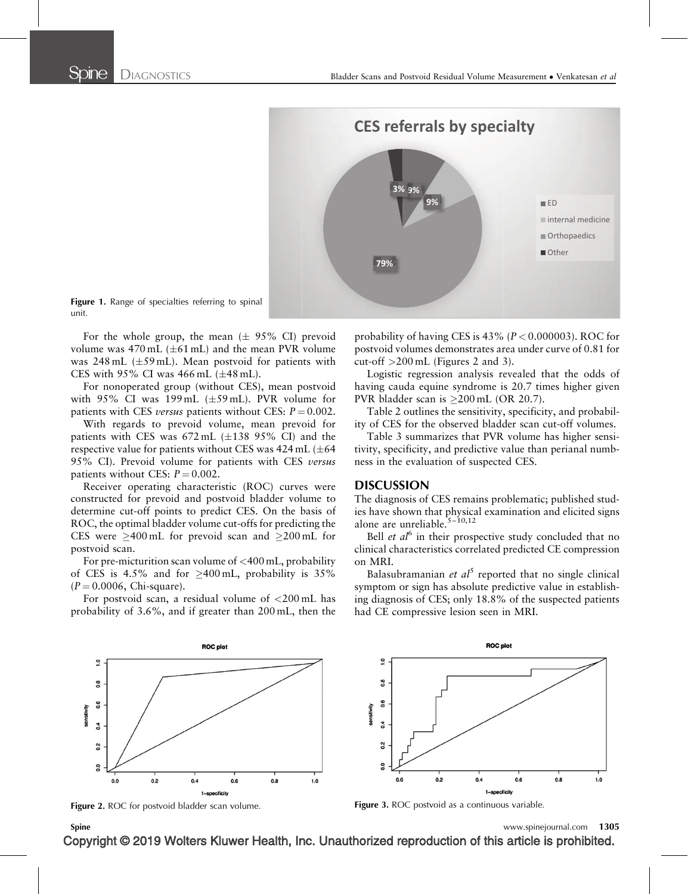

Figure 1. Range of specialties referring to spinal unit.

For the whole group, the mean  $(\pm 95\% \text{ CI})$  prevoid volume was  $470 \text{ mL } (\pm 61 \text{ mL})$  and the mean PVR volume was  $248$  mL ( $\pm 59$  mL). Mean postvoid for patients with CES with  $95\%$  CI was  $466$  mL ( $\pm 48$  mL).

For nonoperated group (without CES), mean postvoid with 95% CI was  $199 \text{ mL } (\pm 59 \text{ mL})$ . PVR volume for patients with CES *versus* patients without CES:  $P = 0.002$ .

With regards to prevoid volume, mean prevoid for patients with CES was  $672 \text{ mL } (\pm 138 \text{ } 95\% \text{ CI})$  and the respective value for patients without CES was 424 mL ( $\pm 64$ 95% CI). Prevoid volume for patients with CES versus patients without CES:  $P = 0.002$ .

Receiver operating characteristic (ROC) curves were constructed for prevoid and postvoid bladder volume to determine cut-off points to predict CES. On the basis of ROC, the optimal bladder volume cut-offs for predicting the CES were  $\geq 400 \text{ mL}$  for prevoid scan and  $\geq 200 \text{ mL}$  for postvoid scan.

For pre-micturition scan volume of <400 mL, probability of CES is 4.5% and for  $\geq 400 \text{ mL}$ , probability is 35%  $(P = 0.0006, \text{ Chi-square}).$ 

For postvoid scan, a residual volume of  $\langle 200 \text{ mL} \rangle$  has probability of 3.6%, and if greater than 200 mL, then the

probability of having CES is 43% ( $P < 0.000003$ ). ROC for postvoid volumes demonstrates area under curve of 0.81 for cut-off >200 mL (Figures 2 and 3).

Logistic regression analysis revealed that the odds of having cauda equine syndrome is 20.7 times higher given PVR bladder scan is  $>200$  mL (OR 20.7).

Table 2 outlines the sensitivity, specificity, and probability of CES for the observed bladder scan cut-off volumes.

Table 3 summarizes that PVR volume has higher sensitivity, specificity, and predictive value than perianal numbness in the evaluation of suspected CES.

### DISCUSSION

The diagnosis of CES remains problematic; published studies have shown that physical examination and elicited signs alone are unreliable.<sup>5-10,12</sup>

Bell *et al*<sup>[6](#page-5-0)</sup> in their prospective study concluded that no clinical characteristics correlated predicted CE compression on MRI.

Balasubramanian et  $al^5$  $al^5$  reported that no single clinical symptom or sign has absolute predictive value in establishing diagnosis of CES; only 18.8% of the suspected patients had CE compressive lesion seen in MRI.





Spine www.spinejournal.com 1305

 $1.0$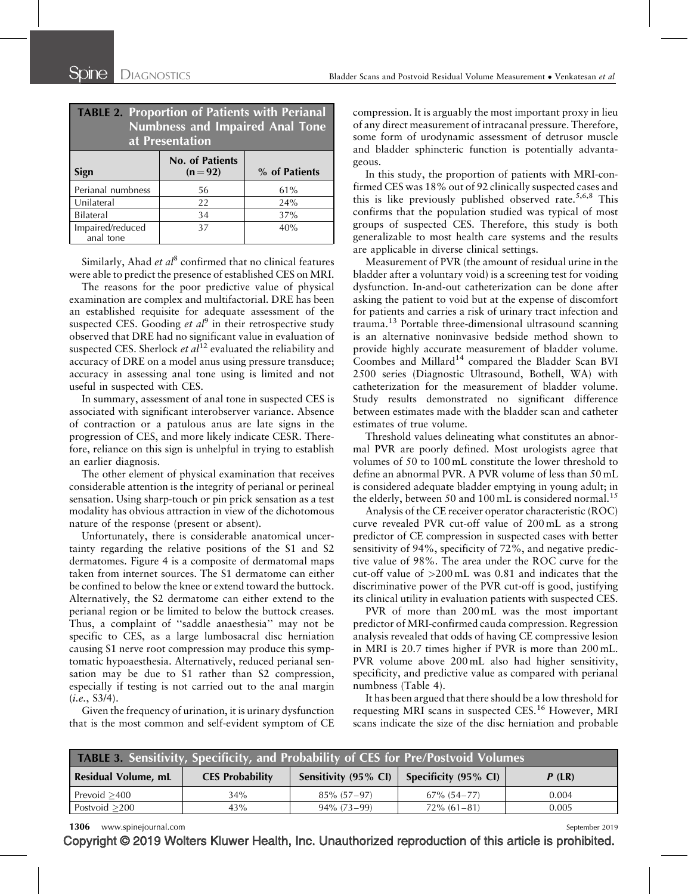| <b>TABLE 2. Proportion of Patients with Perianal</b><br>Numbness and Impaired Anal Tone<br>at Presentation |                                    |               |  |  |  |  |
|------------------------------------------------------------------------------------------------------------|------------------------------------|---------------|--|--|--|--|
| Sign                                                                                                       | <b>No. of Patients</b><br>$(n=92)$ | % of Patients |  |  |  |  |
| Perianal numbness                                                                                          | 56                                 | 61%           |  |  |  |  |
| Unilateral                                                                                                 | 22                                 | 24%           |  |  |  |  |
| Bilateral                                                                                                  | 34                                 | 37%           |  |  |  |  |
| Impaired/reduced<br>anal tone                                                                              | 37                                 | 40%           |  |  |  |  |

Similarly, Ahad et  $al^8$  $al^8$  confirmed that no clinical features were able to predict the presence of established CES on MRI.

The reasons for the poor predictive value of physical examination are complex and multifactorial. DRE has been an established requisite for adequate assessment of the suspected CES. Gooding *et al*<sup>[9](#page-5-0)</sup> in their retrospective study observed that DRE had no significant value in evaluation of suspected CES. Sherlock *et al*<sup>[12](#page-5-0)</sup> evaluated the reliability and accuracy of DRE on a model anus using pressure transduce; accuracy in assessing anal tone using is limited and not useful in suspected with CES.

In summary, assessment of anal tone in suspected CES is associated with significant interobserver variance. Absence of contraction or a patulous anus are late signs in the progression of CES, and more likely indicate CESR. Therefore, reliance on this sign is unhelpful in trying to establish an earlier diagnosis.

The other element of physical examination that receives considerable attention is the integrity of perianal or perineal sensation. Using sharp-touch or pin prick sensation as a test modality has obvious attraction in view of the dichotomous nature of the response (present or absent).

Unfortunately, there is considerable anatomical uncertainty regarding the relative positions of the S1 and S2 dermatomes. Figure 4 is a composite of dermatomal maps taken from internet sources. The S1 dermatome can either be confined to below the knee or extend toward the buttock. Alternatively, the S2 dermatome can either extend to the perianal region or be limited to below the buttock creases. Thus, a complaint of ''saddle anaesthesia'' may not be specific to CES, as a large lumbosacral disc herniation causing S1 nerve root compression may produce this symptomatic hypoaesthesia. Alternatively, reduced perianal sensation may be due to S1 rather than S2 compression, especially if testing is not carried out to the anal margin (i.e., S3/4).

Given the frequency of urination, it is urinary dysfunction that is the most common and self-evident symptom of CE compression. It is arguably the most important proxy in lieu of any direct measurement of intracanal pressure. Therefore, some form of urodynamic assessment of detrusor muscle and bladder sphincteric function is potentially advantageous.

In this study, the proportion of patients with MRI-confirmed CES was 18% out of 92 clinically suspected cases and this is like previously published observed rate.<sup>[5,6,8](#page-5-0)</sup> This confirms that the population studied was typical of most groups of suspected CES. Therefore, this study is both generalizable to most health care systems and the results are applicable in diverse clinical settings.

Measurement of PVR (the amount of residual urine in the bladder after a voluntary void) is a screening test for voiding dysfunction. In-and-out catheterization can be done after asking the patient to void but at the expense of discomfort for patients and carries a risk of urinary tract infection and trauma.<sup>[13](#page-5-0)</sup> Portable three-dimensional ultrasound scanning is an alternative noninvasive bedside method shown to provide highly accurate measurement of bladder volume. Coombes and Millard<sup>[14](#page-5-0)</sup> compared the Bladder Scan BVI 2500 series (Diagnostic Ultrasound, Bothell, WA) with catheterization for the measurement of bladder volume. Study results demonstrated no significant difference between estimates made with the bladder scan and catheter estimates of true volume.

Threshold values delineating what constitutes an abnormal PVR are poorly defined. Most urologists agree that volumes of 50 to 100 mL constitute the lower threshold to define an abnormal PVR. A PVR volume of less than 50 mL is considered adequate bladder emptying in young adult; in the elderly, between 50 and 100 mL is considered normal.<sup>[15](#page-5-0)</sup>

Analysis of the CE receiver operator characteristic (ROC) curve revealed PVR cut-off value of 200 mL as a strong predictor of CE compression in suspected cases with better sensitivity of 94%, specificity of 72%, and negative predictive value of 98%. The area under the ROC curve for the cut-off value of >200 mL was 0.81 and indicates that the discriminative power of the PVR cut-off is good, justifying its clinical utility in evaluation patients with suspected CES.

PVR of more than 200 mL was the most important predictor of MRI-confirmed cauda compression. Regression analysis revealed that odds of having CE compressive lesion in MRI is 20.7 times higher if PVR is more than 200 mL. PVR volume above 200 mL also had higher sensitivity, specificity, and predictive value as compared with perianal numbness (Table 4).

It has been argued that there should be a low threshold for requesting MRI scans in suspected CES.<sup>[16](#page-5-0)</sup> However, MRI scans indicate the size of the disc herniation and probable

| <b>TABLE 3. Sensitivity, Specificity, and Probability of CES for Pre/Postvoid Volumes</b> |                        |                      |                             |          |  |  |
|-------------------------------------------------------------------------------------------|------------------------|----------------------|-----------------------------|----------|--|--|
| <b>Residual Volume, mL</b>                                                                | <b>CES Probability</b> | Sensitivity (95% CI) | <b>Specificity (95% CI)</b> | $P$ (LR) |  |  |
| Prevoid $>400$                                                                            | 34%                    | $85\%$ (57-97)       | $67\%$ $(54-77)$            | 0.004    |  |  |
| Postvoid $>200$                                                                           | 43%                    | $94\%$ (73-99)       | $72\%$ (61-81)              | 0.005    |  |  |

1306 www.spinejournal.com September 2019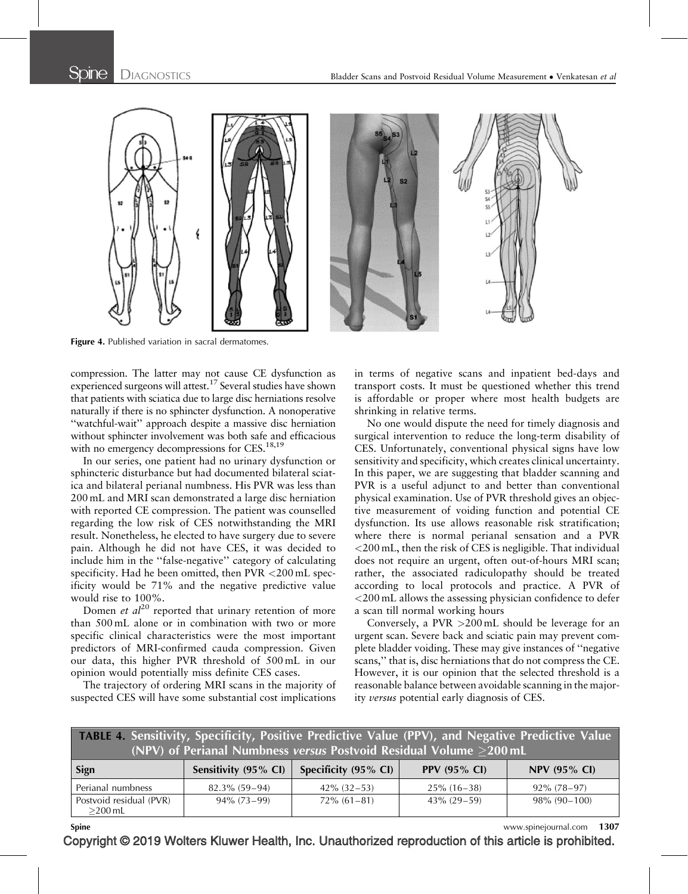

Figure 4. Published variation in sacral dermatomes.

compression. The latter may not cause CE dysfunction as experienced surgeons will attest.<sup>17</sup> Several studies have shown that patients with sciatica due to large disc herniations resolve naturally if there is no sphincter dysfunction. A nonoperative ''watchful-wait'' approach despite a massive disc herniation without sphincter involvement was both safe and efficacious with no emergency decompressions for CES.<sup>18,19</sup>

In our series, one patient had no urinary dysfunction or sphincteric disturbance but had documented bilateral sciatica and bilateral perianal numbness. His PVR was less than 200 mL and MRI scan demonstrated a large disc herniation with reported CE compression. The patient was counselled regarding the low risk of CES notwithstanding the MRI result. Nonetheless, he elected to have surgery due to severe pain. Although he did not have CES, it was decided to include him in the ''false-negative'' category of calculating specificity. Had he been omitted, then PVR <200 mL specificity would be 71% and the negative predictive value would rise to 100%.

Domen et  $al^{20}$  $al^{20}$  $al^{20}$  reported that urinary retention of more than 500 mL alone or in combination with two or more specific clinical characteristics were the most important predictors of MRI-confirmed cauda compression. Given our data, this higher PVR threshold of 500 mL in our opinion would potentially miss definite CES cases.

The trajectory of ordering MRI scans in the majority of suspected CES will have some substantial cost implications

in terms of negative scans and inpatient bed-days and transport costs. It must be questioned whether this trend is affordable or proper where most health budgets are shrinking in relative terms.

No one would dispute the need for timely diagnosis and surgical intervention to reduce the long-term disability of CES. Unfortunately, conventional physical signs have low sensitivity and specificity, which creates clinical uncertainty. In this paper, we are suggesting that bladder scanning and PVR is a useful adjunct to and better than conventional physical examination. Use of PVR threshold gives an objective measurement of voiding function and potential CE dysfunction. Its use allows reasonable risk stratification; where there is normal perianal sensation and a PVR <200 mL, then the risk of CES is negligible. That individual does not require an urgent, often out-of-hours MRI scan; rather, the associated radiculopathy should be treated according to local protocols and practice. A PVR of <200 mL allows the assessing physician confidence to defer a scan till normal working hours

Conversely, a PVR  $>200$  mL should be leverage for an urgent scan. Severe back and sciatic pain may prevent complete bladder voiding. These may give instances of ''negative scans,'' that is, disc herniations that do not compress the CE. However, it is our opinion that the selected threshold is a reasonable balance between avoidable scanning in the majority versus potential early diagnosis of CES.

| <b>TABLE 4. Sensitivity, Specificity, Positive Predictive Value (PPV), and Negative Predictive Value</b><br>(NPV) of Perianal Numbness versus Postvoid Residual Volume >200 mL |                      |                      |                     |                     |  |  |
|--------------------------------------------------------------------------------------------------------------------------------------------------------------------------------|----------------------|----------------------|---------------------|---------------------|--|--|
| Sign                                                                                                                                                                           | Sensitivity (95% CI) | Specificity (95% CI) | <b>PPV (95% CI)</b> | <b>NPV (95% CI)</b> |  |  |
| Perianal numbness                                                                                                                                                              | $82.3\%$ (59-94)     | $42\%$ (32-53)       | $25\%$ (16-38)      | $92\% (78-97)$      |  |  |
| Postvoid residual (PVR)<br>$>$ 200 mL                                                                                                                                          | $94\% (73-99)$       | $72\%$ (61-81)       | $43\% (29-59)$      | $98\%$ (90-100)     |  |  |

Spine www.spinejournal.com 1307